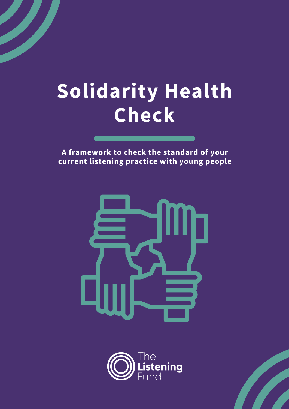# **Solidarity Health Check**

**A framework to check the standard of your current listening practice with young people**



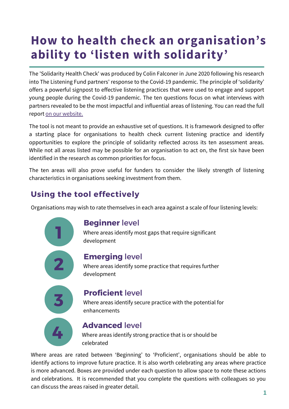# **How to health check an organisation's ability to 'listen with solidarity'**

The 'Solidarity Health Check' was produced by Colin Falconer in June 2020 following his research into The Listening Fund partners' response to the Covid-19 pandemic. The principle of 'solidarity' offers a powerful signpost to effective listening practices that were used to engage and support young people during the Covid-19 pandemic. The ten questions focus on what interviews with partners revealed to be the most impactful and influential areas of listening. You can read the full report on our [website.](https://www.thelisteningfund.org/resources-for-partners/)

The tool is not meant to provide an exhaustive set of questions. It is framework designed to offer a starting place for organisations to health check current listening practice and identify opportunities to explore the principle of solidarity reflected across its ten assessment areas. While not all areas listed may be possible for an organisation to act on, the first six have been identified in the research as common priorities for focus.

The ten areas will also prove useful for funders to consider the likely strength of listening characteristics in organisations seeking investment from them.

## **Using the tool effectively**

Organisations may wish to rate themselves in each area against a scale of four listening levels:



#### **Beginner** level

Where areas identify most gaps that require significant development

### **Emerging** level

**2** Where areas identify some practice that requires further development



#### **Proficient** level

**3** Where areas identify secure practice with the potential for enhancements



#### **Advanced** level

**4** Where areas identify strong practice that is or should be celebrated

Where areas are rated between 'Beginning' to 'Proficient', organisations should be able to identify actions to improve future practice. It is also worth celebrating any areas where practice is more advanced. Boxes are provided under each question to allow space to note these actions and celebrations. It is recommended that you complete the questions with colleagues so you can discuss the areas raised in greater detail.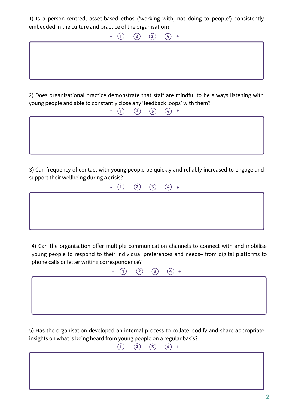1) Is a person-centred, asset-based ethos ('working with, not doing to people') consistently embedded in the culture and practice of the organisation?

> $(1)$   $(2)$   $(3)$   $(4)$  + **- (1) (2) (3) (4)** +

2) Does organisational practice demonstrate that staff are mindful to be always listening with young people and able to constantly close any 'feedback loops' with them?

**1 2 (3) 4 +** 

3) Can frequency of contact with young people be quickly and reliably increased to engage and support their wellbeing during a crisis?



4) Can the organisation offer multiple communication channels to connect with and mobilise young people to respond to their individual preferences and needs– from digital platforms to phone calls or letter writing correspondence?



5) Has the organisation developed an internal process to collate, codify and share appropriate insights on what is being heard from young people on a regular basis?

**1 2 (3) (4)** +